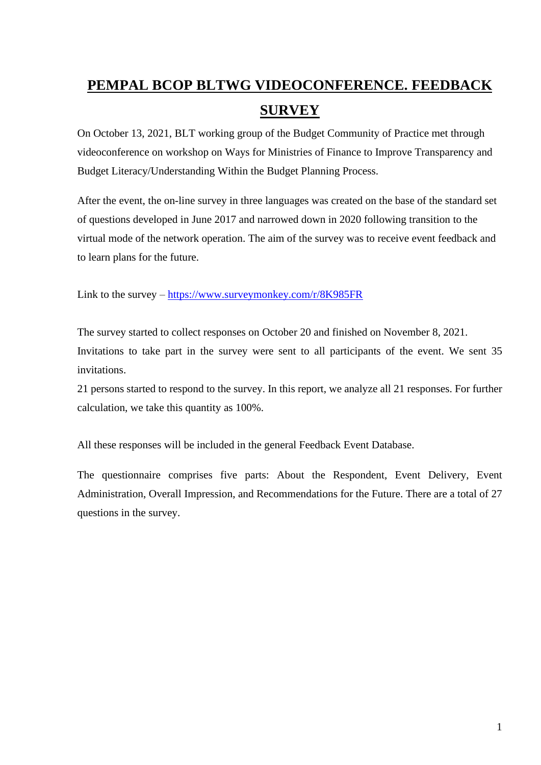# **PEMPAL BCOP BLTWG VIDEOCONFERENCE. FEEDBACK SURVEY**

On October 13, 2021, BLT working group of the Budget Community of Practice met through videoconference on workshop on Ways for Ministries of Finance to Improve Transparency and Budget Literacy/Understanding Within the Budget Planning Process.

After the event, the on-line survey in three languages was created on the base of the standard set of questions developed in June 2017 and narrowed down in 2020 following transition to the virtual mode of the network operation. The aim of the survey was to receive event feedback and to learn plans for the future.

Link to the survey – <https://www.surveymonkey.com/r/8K985FR>

The survey started to collect responses on October 20 and finished on November 8, 2021. Invitations to take part in the survey were sent to all participants of the event. We sent 35 invitations.

21 persons started to respond to the survey. In this report, we analyze all 21 responses. For further calculation, we take this quantity as 100%.

All these responses will be included in the general Feedback Event Database.

The questionnaire comprises five parts: About the Respondent, Event Delivery, Event Administration, Overall Impression, and Recommendations for the Future. There are a total of 27 questions in the survey.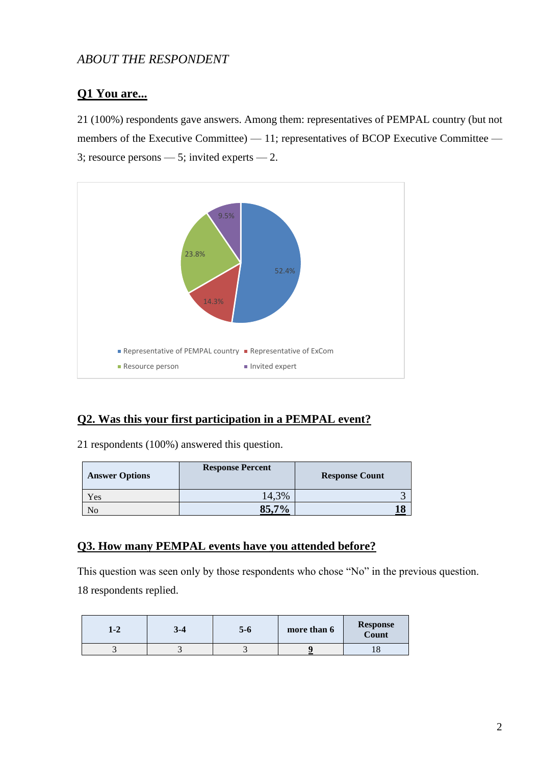## *ABOUT THE RESPONDENT*

## **Q1 You are...**

21 (100%) respondents gave answers. Among them: representatives of PEMPAL country (but not members of the Executive Committee) — 11; representatives of BCOP Executive Committee — 3; resource persons  $-5$ ; invited experts  $-2$ .



#### **Q2. Was this your first participation in a PEMPAL event?**

21 respondents (100%) answered this question.

| <b>Answer Options</b> | <b>Response Percent</b> | <b>Response Count</b> |
|-----------------------|-------------------------|-----------------------|
| Yes                   | 14,3%                   |                       |
| No                    | QE 70/<br>55.           |                       |

#### **Q3. How many PEMPAL events have you attended before?**

This question was seen only by those respondents who chose "No" in the previous question. 18 respondents replied.

| 1-4 | $3 - 4$ | 5-6 | more than 6 | <b>Response</b><br>Count |
|-----|---------|-----|-------------|--------------------------|
| - 1 |         |     |             |                          |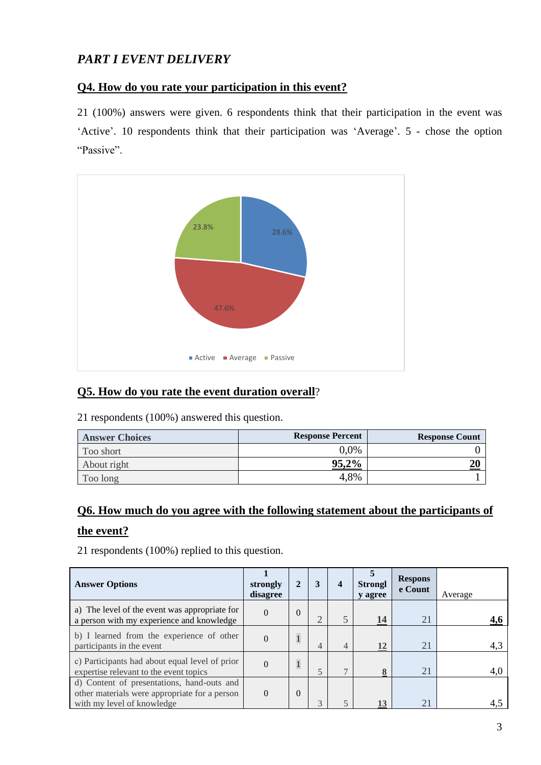# *PART I EVENT DELIVERY*

#### **Q4. How do you rate your participation in this event?**

21 (100%) answers were given. 6 respondents think that their participation in the event was 'Active'. 10 respondents think that their participation was 'Average'. 5 - chose the option "Passive".



#### **Q5. How do you rate the event duration overall**?

21 respondents (100%) answered this question.

| <b>Answer Choices</b> | <b>Response Percent</b> | <b>Response Count</b> |
|-----------------------|-------------------------|-----------------------|
| Too short             | $0.0\%$                 |                       |
| About right           | 95,2%                   |                       |
| Too long              | 4,8%                    |                       |

# **Q6. How much do you agree with the following statement about the participants of the event?**

| <b>Answer Options</b>                                                                                                     | strongly<br>disagree |              | 3              | $\overline{4}$ | <b>Strongl</b><br>y agree | <b>Respons</b><br>e Count | Average |
|---------------------------------------------------------------------------------------------------------------------------|----------------------|--------------|----------------|----------------|---------------------------|---------------------------|---------|
| a) The level of the event was appropriate for<br>a person with my experience and knowledge                                | $\Omega$             | 0            | $\bigcap$      |                | 14                        | 21                        |         |
| b) I learned from the experience of other<br>participants in the event                                                    | $\theta$             | $\mathbf{1}$ | $\overline{4}$ | 4              | 12                        | 21                        | 4,3     |
| c) Participants had about equal level of prior<br>expertise relevant to the event topics                                  | $\Omega$             | $\mathbf{1}$ | 5              | $\mathcal{I}$  | 8                         | 21                        | 4,0     |
| d) Content of presentations, hand-outs and<br>other materials were appropriate for a person<br>with my level of knowledge | $\Omega$             | 0            | $\mathbf{R}$   |                | 13                        | 21                        | 4,5     |

21 respondents (100%) replied to this question.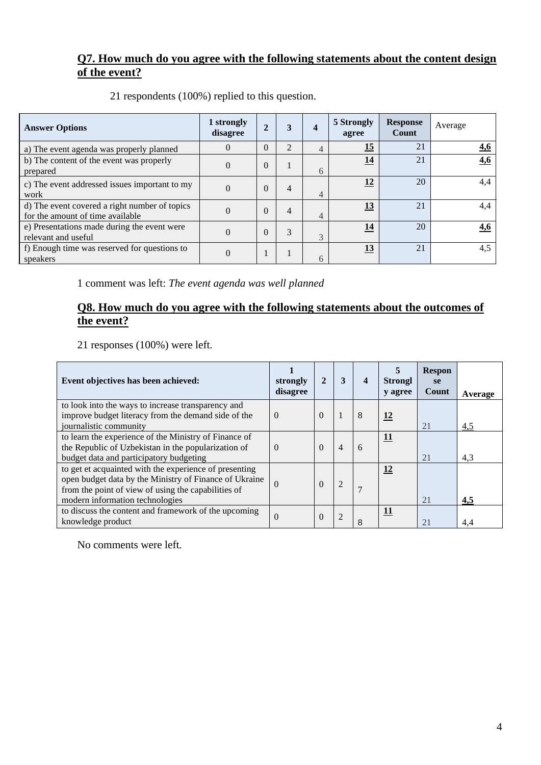## **Q7. How much do you agree with the following statements about the content design of the event?**

| <b>Answer Options</b>                                                             | 1 strongly<br>disagree | $\overline{2}$ | 3              | 4 | 5 Strongly<br>agree | <b>Response</b><br>Count | Average    |
|-----------------------------------------------------------------------------------|------------------------|----------------|----------------|---|---------------------|--------------------------|------------|
| a) The event agenda was properly planned                                          | $\Omega$               | $\theta$       | 2              | 4 | 15                  | 21                       | 4,6        |
| b) The content of the event was properly<br>prepared                              | $\Omega$               | $\theta$       |                | 6 | <u>14</u>           | 21                       | <u>4,6</u> |
| c) The event addressed issues important to my<br>work                             | $\Omega$               | $\theta$       | 4              | 4 | 12                  | 20                       | 4,4        |
| d) The event covered a right number of topics<br>for the amount of time available | $\Omega$               | $\theta$       | $\overline{4}$ | 4 | <u>13</u>           | 21                       | 4,4        |
| e) Presentations made during the event were<br>relevant and useful                | $\Omega$               | $\theta$       | 3              | 3 | 14                  | 20                       | <u>4,6</u> |
| f) Enough time was reserved for questions to<br>speakers                          | $\theta$               |                |                | 6 | 13                  | 21                       | 4,5        |

21 respondents (100%) replied to this question.

1 comment was left: *The event agenda was well planned*

## **Q8. How much do you agree with the following statements about the outcomes of the event?**

21 responses (100%) were left.

| Event objectives has been achieved:                                                                                                                                                                        | strongly<br>disagree | 2        | 3              | 4 | <b>Strongl</b><br>y agree | <b>Respon</b><br><b>se</b><br>Count | Average |
|------------------------------------------------------------------------------------------------------------------------------------------------------------------------------------------------------------|----------------------|----------|----------------|---|---------------------------|-------------------------------------|---------|
| to look into the ways to increase transparency and<br>improve budget literacy from the demand side of the<br>journalistic community                                                                        | $\Omega$             | $\Omega$ |                | 8 | <u>12</u>                 | 21                                  | 4,5     |
| to learn the experience of the Ministry of Finance of<br>the Republic of Uzbekistan in the popularization of<br>budget data and participatory budgeting                                                    | $\Omega$             | $\Omega$ | $\overline{4}$ | 6 | <u>11</u>                 | 21                                  | 4,3     |
| to get et acquainted with the experience of presenting<br>open budget data by the Ministry of Finance of Ukraine<br>from the point of view of using the capabilities of<br>modern information technologies | $\Omega$             | $\Omega$ | $\overline{2}$ |   | 12                        | 21                                  | 4,5     |
| to discuss the content and framework of the upcoming<br>knowledge product                                                                                                                                  | $\theta$             | $\theta$ | $\overline{2}$ | 8 | 11                        | 21                                  | 4.4     |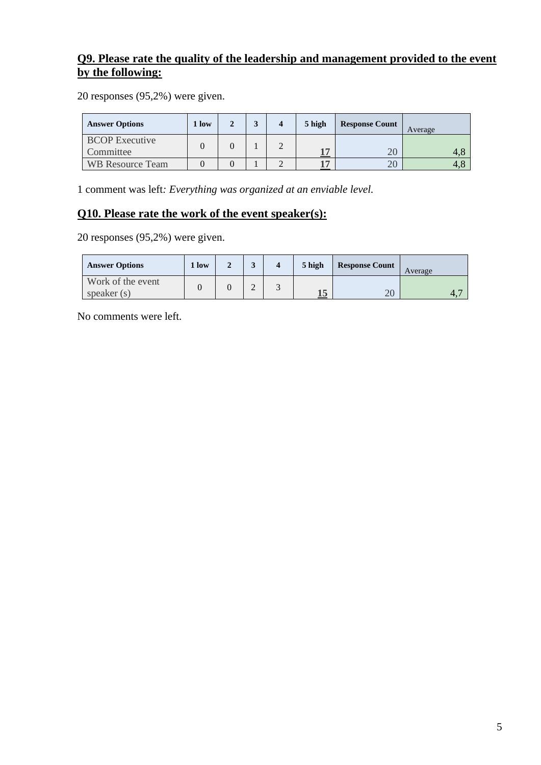## **Q9. Please rate the quality of the leadership and management provided to the event by the following:**

20 responses (95,2%) were given.

| <b>Answer Options</b>              | 1 low |  | 5 high         | <b>Response Count</b> | Average |
|------------------------------------|-------|--|----------------|-----------------------|---------|
| <b>BCOP</b> Executive<br>Committee |       |  | 1 <sub>m</sub> |                       |         |
| <b>WB Resource Team</b>            |       |  |                | ΖU                    | 4.c     |

1 comment was left*: Everything was organized at an enviable level.*

#### **Q10. Please rate the work of the event speaker(s):**

20 responses (95,2%) were given.

| <b>Answer Options</b>              | low |   | 5 high | <b>Response Count</b> | Average |
|------------------------------------|-----|---|--------|-----------------------|---------|
| Work of the event<br>speaker $(s)$ |     | ∠ | ⊥J     | $\Omega$<br>ZU        | 4.      |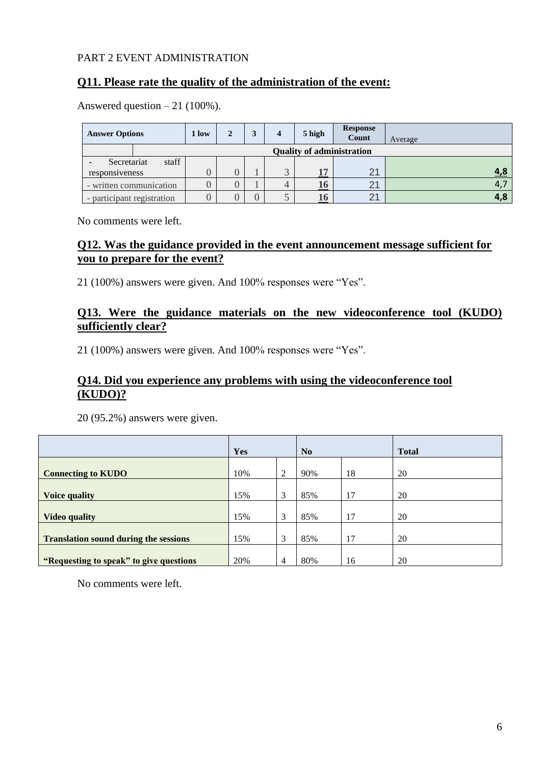#### PART 2 EVENT ADMINISTRATION

#### **Q11. Please rate the quality of the administration of the event:**

| Answered question $-21$ (100%). |  |  |  |
|---------------------------------|--|--|--|
|---------------------------------|--|--|--|

| <b>Answer Options</b>      |                         | 1 low | 2 | 4 | 5 high | <b>Response</b><br>Count | Average        |
|----------------------------|-------------------------|-------|---|---|--------|--------------------------|----------------|
|                            |                         |       |   |   |        |                          |                |
| Secretariat                | staff                   |       |   |   |        |                          |                |
| responsiveness             |                         |       |   |   | 17     | 2 <sup>1</sup>           |                |
|                            | - written communication |       |   |   | 16     | 2 <sup>1</sup>           | $\overline{4}$ |
| - participant registration |                         |       |   |   | 16     | 2 <sup>1</sup>           | 4,8            |

No comments were left*.*

#### **Q12. Was the guidance provided in the event announcement message sufficient for you to prepare for the event?**

21 (100%) answers were given. And 100% responses were "Yes".

#### **Q13. Were the guidance materials on the new videoconference tool (KUDO) sufficiently clear?**

21 (100%) answers were given. And 100% responses were "Yes".

#### **Q14. Did you experience any problems with using the videoconference tool (KUDO)?**

20 (95.2%) answers were given.

|                                              | <b>Yes</b> |                | N <sub>0</sub> |    | <b>Total</b> |
|----------------------------------------------|------------|----------------|----------------|----|--------------|
| <b>Connecting to KUDO</b>                    | 10%        | 2              | 90%            | 18 | 20           |
| <b>Voice quality</b>                         | 15%        | 3              | 85%            | 17 | 20           |
| <b>Video quality</b>                         | 15%        | 3              | 85%            | 17 | 20           |
| <b>Translation sound during the sessions</b> | 15%        | 3              | 85%            | 17 | 20           |
| "Requesting to speak" to give questions      | 20%        | $\overline{4}$ | 80%            | 16 | 20           |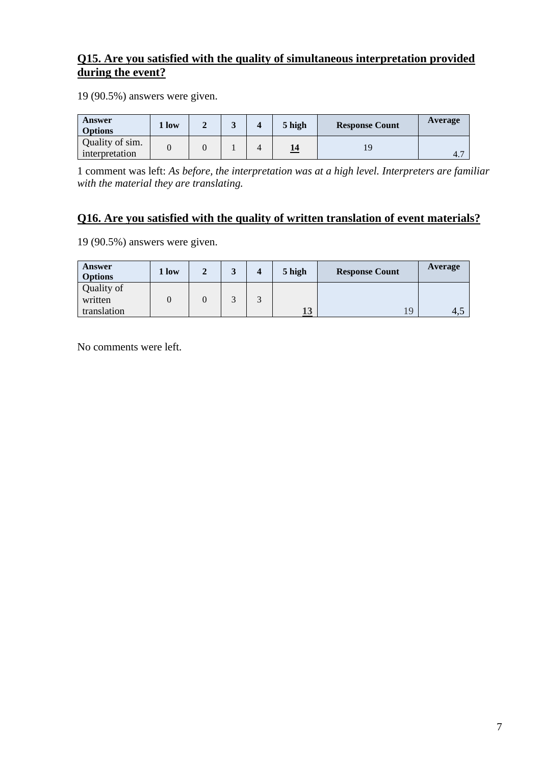## **Q15. Are you satisfied with the quality of simultaneous interpretation provided during the event?**

19 (90.5%) answers were given.

| Answer<br><b>Options</b>          | 1 low |  | 5 high | <b>Response Count</b> | Average |
|-----------------------------------|-------|--|--------|-----------------------|---------|
| Quality of sim.<br>interpretation |       |  |        |                       | 4.7     |

1 comment was left: *As before, the interpretation was at a high level. Interpreters are familiar with the material they are translating.*

## **Q16. Are you satisfied with the quality of written translation of event materials?**

19 (90.5%) answers were given.

| <b>Answer</b><br><b>Options</b> | 1 low | ↑ | 3 | $\boldsymbol{4}$ | 5 high | <b>Response Count</b> | Average |
|---------------------------------|-------|---|---|------------------|--------|-----------------------|---------|
| Quality of<br>written           |       |   |   |                  |        |                       |         |
| translation                     |       |   |   |                  | 13     | $\overline{19}$       | 4.,     |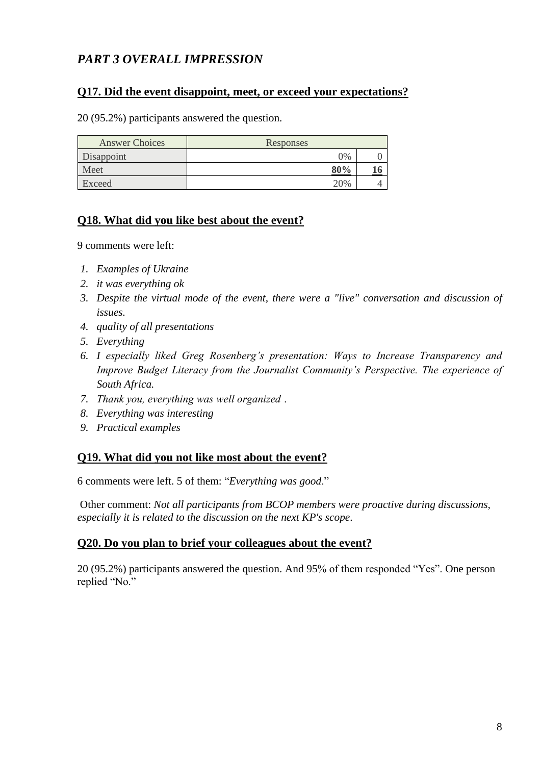# *PART 3 OVERALL IMPRESSION*

#### **Q17. Did the event disappoint, meet, or exceed your expectations?**

20 (95.2%) participants answered the question.

| <b>Answer Choices</b> | Responses |   |
|-----------------------|-----------|---|
| Disappoint            | 0%        |   |
| Meet                  | 80%       |   |
| Exceed                | 20%       | ↵ |

#### **Q18. What did you like best about the event?**

9 comments were left:

- *1. Examples of Ukraine*
- *2. it was everything ok*
- *3. Despite the virtual mode of the event, there were a "live" conversation and discussion of issues.*
- *4. quality of all presentations*
- *5. Everything*
- *6. I especially liked Greg Rosenberg's presentation: Ways to Increase Transparency and Improve Budget Literacy from the Journalist Community's Perspective. The experience of South Africa.*
- *7. Thank you, everything was well organized ․*
- *8. Everything was interesting*
- *9. Practical examples*

#### **Q19. What did you not like most about the event?**

6 comments were left. 5 of them: "*Everything was good*."

Other comment: *Not all participants from BCOP members were proactive during discussions, especially it is related to the discussion on the next KP's scope*.

#### **Q20. Do you plan to brief your colleagues about the event?**

20 (95.2%) participants answered the question. And 95% of them responded "Yes". One person replied "No."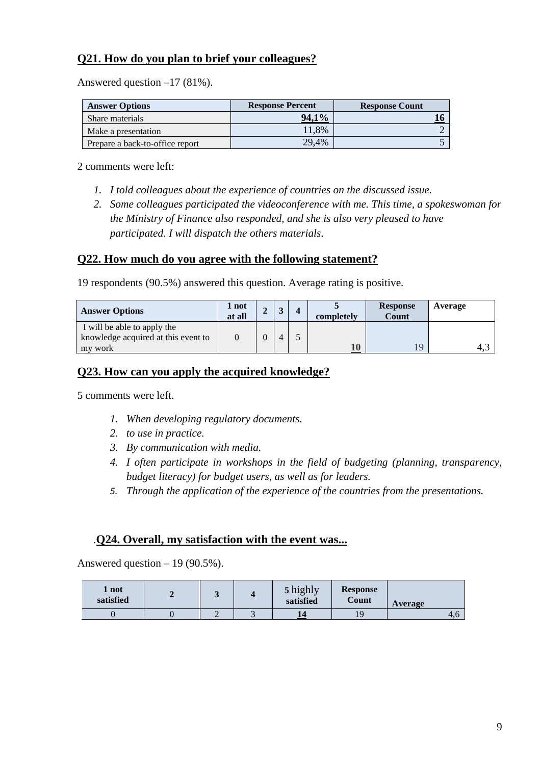## **Q21. How do you plan to brief your colleagues?**

Answered question –17 (81%).

| <b>Answer Options</b>           | <b>Response Percent</b> | <b>Response Count</b> |  |
|---------------------------------|-------------------------|-----------------------|--|
| Share materials                 | 94,1%                   |                       |  |
| Make a presentation             | 11,8%                   |                       |  |
| Prepare a back-to-office report | 29,4%                   |                       |  |

2 comments were left:

- *1. I told colleagues about the experience of countries on the discussed issue.*
- *2. Some colleagues participated the videoconference with me. This time, a spokeswoman for the Ministry of Finance also responded, and she is also very pleased to have participated. I will dispatch the others materials.*

#### **Q22. How much do you agree with the following statement?**

19 respondents (90.5%) answered this question. Average rating is positive.

| <b>Answer Options</b>               | 1 not<br>at all | ഄ              | completely | <b>Response</b><br><b>Count</b> | Average |
|-------------------------------------|-----------------|----------------|------------|---------------------------------|---------|
| I will be able to apply the         |                 |                |            |                                 |         |
| knowledge acquired at this event to |                 | $\overline{4}$ |            |                                 |         |
| work<br>my                          |                 |                | ${\bf 10}$ | ۱Q                              | 4.1     |

#### **Q23. How can you apply the acquired knowledge?**

5 comments were left.

- *1. When developing regulatory documents.*
- *2. to use in practice.*
- *3. By communication with media.*
- *4. I often participate in workshops in the field of budgeting (planning, transparency, budget literacy) for budget users, as well as for leaders.*
- *5. Through the application of the experience of the countries from the presentations.*

#### *.***Q24. Overall, my satisfaction with the event was...**

Answered question  $-19(90.5\%)$ .

| not<br>satisfied |   | 5 highly<br>satisfied | <b>Response</b><br>Count | Average |
|------------------|---|-----------------------|--------------------------|---------|
|                  | ∽ |                       | ۱O                       | 4.6     |